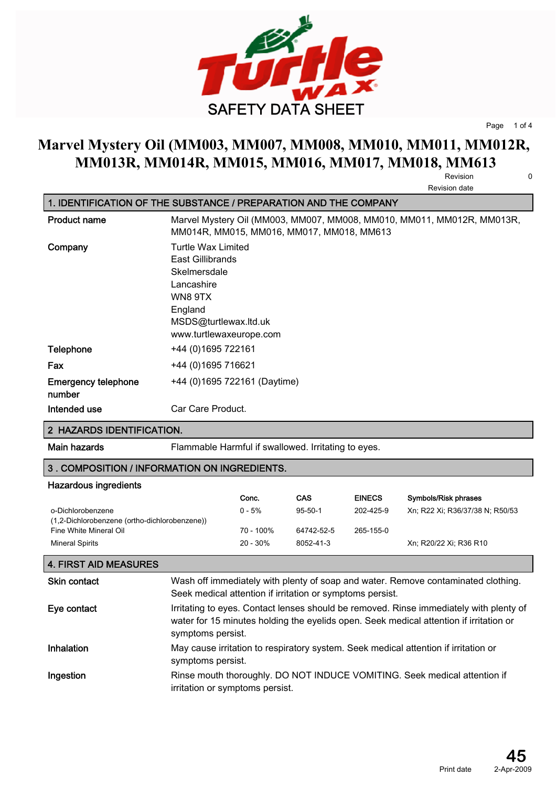

**Page 1 of 4**

## **Marvel Mystery Oil (MM003, MM007, MM008, MM010, MM011, MM012R, MM013R, MM014R, MM015, MM016, MM017, MM018, MM613**

**Revision 0 Revision date**

|                                      | <b>INGVISIUII UALG</b>                                                                                                                         |
|--------------------------------------|------------------------------------------------------------------------------------------------------------------------------------------------|
|                                      | 1. IDENTIFICATION OF THE SUBSTANCE / PREPARATION AND THE COMPANY                                                                               |
| <b>Product name</b>                  | Marvel Mystery Oil (MM003, MM007, MM008, MM010, MM011, MM012R, MM013R,<br>MM014R, MM015, MM016, MM017, MM018, MM613                            |
| Company                              | Turtle Wax Limited<br>East Gillibrands<br>Skelmersdale<br>Lancashire<br>WN8 9TX<br>England<br>MSDS@turtlewax.ltd.uk<br>www.turtlewaxeurope.com |
| <b>Telephone</b>                     | +44 (0) 1695 722161                                                                                                                            |
| Fax                                  | +44 (0) 1695 716621                                                                                                                            |
| <b>Emergency telephone</b><br>number | +44 (0)1695 722161 (Daytime)                                                                                                                   |
| Intended use                         | Car Care Product.                                                                                                                              |

#### **2 HAZARDS IDENTIFICATION.**

**Main hazards Flammable Harmful if swallowed. Irritating to eyes.**

### **3 . COMPOSITION / INFORMATION ON INGREDIENTS.**

#### **Hazardous ingredients**

|                                               | Conc.       | <b>CAS</b>    | <b>EINECS</b> | Symbols/Risk phrases            |
|-----------------------------------------------|-------------|---------------|---------------|---------------------------------|
| o-Dichlorobenzene                             | $0 - 5%$    | $95 - 50 - 1$ | 202-425-9     | Xn, R22 Xi, R36/37/38 N, R50/53 |
| (1,2-Dichlorobenzene (ortho-dichlorobenzene)) |             |               |               |                                 |
| Fine White Mineral Oil                        | 70 - 100%   | 64742-52-5    | 265-155-0     |                                 |
| <b>Mineral Spirits</b>                        | $20 - 30\%$ | 8052-41-3     |               | Xn; R20/22 Xi; R36 R10          |

#### **4. FIRST AID MEASURES**

| <b>Skin contact</b> | Wash off immediately with plenty of soap and water. Remove contaminated clothing.<br>Seek medical attention if irritation or symptoms persist.                                                        |
|---------------------|-------------------------------------------------------------------------------------------------------------------------------------------------------------------------------------------------------|
| Eye contact         | Irritating to eyes. Contact lenses should be removed. Rinse immediately with plenty of<br>water for 15 minutes holding the eyelids open. Seek medical attention if irritation or<br>symptoms persist. |
| Inhalation          | May cause irritation to respiratory system. Seek medical attention if irritation or<br>symptoms persist.                                                                                              |
| Ingestion           | Rinse mouth thoroughly. DO NOT INDUCE VOMITING. Seek medical attention if<br>irritation or symptoms persist.                                                                                          |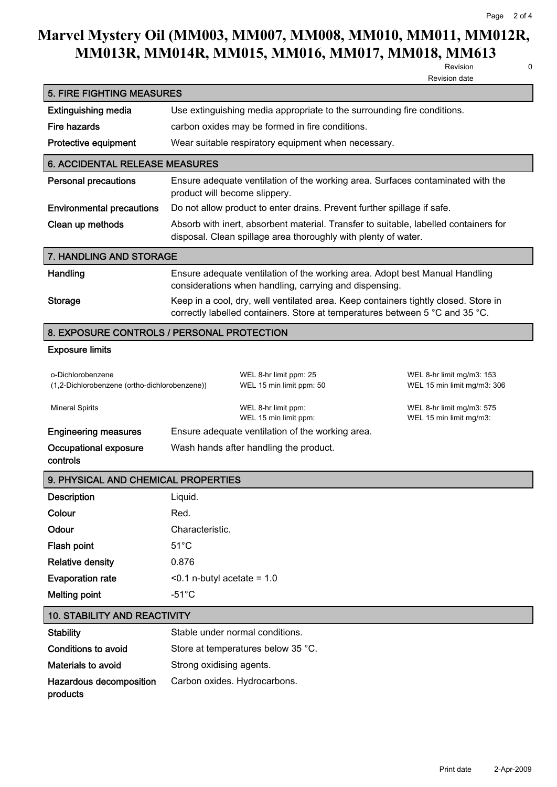# **Marvel Mystery Oil (MM003, MM007, MM008, MM010, MM011, MM012R, MM013R, MM014R, MM015, MM016, MM017, MM018, MM613**

**Revision 0**

| ٠<br>i<br>I<br>۰. |
|-------------------|
|                   |

|                                                                    |                                                                                                                                                                     | Revision<br>U<br><b>Revision date</b>                    |  |
|--------------------------------------------------------------------|---------------------------------------------------------------------------------------------------------------------------------------------------------------------|----------------------------------------------------------|--|
| <b>5. FIRE FIGHTING MEASURES</b>                                   |                                                                                                                                                                     |                                                          |  |
| <b>Extinguishing media</b>                                         | Use extinguishing media appropriate to the surrounding fire conditions.                                                                                             |                                                          |  |
| <b>Fire hazards</b>                                                | carbon oxides may be formed in fire conditions.                                                                                                                     |                                                          |  |
| Protective equipment                                               | Wear suitable respiratory equipment when necessary.                                                                                                                 |                                                          |  |
| 6. ACCIDENTAL RELEASE MEASURES                                     |                                                                                                                                                                     |                                                          |  |
| <b>Personal precautions</b>                                        | Ensure adequate ventilation of the working area. Surfaces contaminated with the<br>product will become slippery.                                                    |                                                          |  |
| <b>Environmental precautions</b>                                   | Do not allow product to enter drains. Prevent further spillage if safe.                                                                                             |                                                          |  |
| Clean up methods                                                   | Absorb with inert, absorbent material. Transfer to suitable, labelled containers for<br>disposal. Clean spillage area thoroughly with plenty of water.              |                                                          |  |
| 7. HANDLING AND STORAGE                                            |                                                                                                                                                                     |                                                          |  |
| Handling                                                           | Ensure adequate ventilation of the working area. Adopt best Manual Handling<br>considerations when handling, carrying and dispensing.                               |                                                          |  |
| <b>Storage</b>                                                     | Keep in a cool, dry, well ventilated area. Keep containers tightly closed. Store in<br>correctly labelled containers. Store at temperatures between 5 °C and 35 °C. |                                                          |  |
|                                                                    | 8. EXPOSURE CONTROLS / PERSONAL PROTECTION                                                                                                                          |                                                          |  |
| <b>Exposure limits</b>                                             |                                                                                                                                                                     |                                                          |  |
| o-Dichlorobenzene<br>(1,2-Dichlorobenzene (ortho-dichlorobenzene)) | WEL 8-hr limit ppm: 25<br>WEL 15 min limit ppm: 50                                                                                                                  | WEL 8-hr limit mg/m3: 153<br>WEL 15 min limit mg/m3: 306 |  |
| <b>Mineral Spirits</b>                                             | WEL 8-hr limit ppm:<br>WEL 15 min limit ppm:                                                                                                                        | WEL 8-hr limit mg/m3: 575<br>WEL 15 min limit mg/m3:     |  |
| <b>Engineering measures</b>                                        | Ensure adequate ventilation of the working area.                                                                                                                    |                                                          |  |
| Occupational exposure<br>controls                                  | Wash hands after handling the product.                                                                                                                              |                                                          |  |
| 9. PHYSICAL AND CHEMICAL PROPERTIES                                |                                                                                                                                                                     |                                                          |  |
| <b>Description</b>                                                 | Liquid.                                                                                                                                                             |                                                          |  |
| Colour                                                             | Red.                                                                                                                                                                |                                                          |  |
| Odour                                                              | Characteristic.                                                                                                                                                     |                                                          |  |
| Flash point                                                        | $51^{\circ}$ C                                                                                                                                                      |                                                          |  |
| <b>Relative density</b>                                            | 0.876                                                                                                                                                               |                                                          |  |
| <b>Evaporation rate</b>                                            | $<$ 0.1 n-butyl acetate = 1.0                                                                                                                                       |                                                          |  |
| <b>Melting point</b>                                               | $-51^{\circ}$ C                                                                                                                                                     |                                                          |  |
| <b>10. STABILITY AND REACTIVITY</b>                                |                                                                                                                                                                     |                                                          |  |
| <b>Stability</b>                                                   | Stable under normal conditions.                                                                                                                                     |                                                          |  |
| <b>Conditions to avoid</b>                                         | Store at temperatures below 35 °C.                                                                                                                                  |                                                          |  |
| Materials to avoid                                                 | Strong oxidising agents.                                                                                                                                            |                                                          |  |
| Hazardous decomposition                                            | Carbon oxides. Hydrocarbons.                                                                                                                                        |                                                          |  |

**products**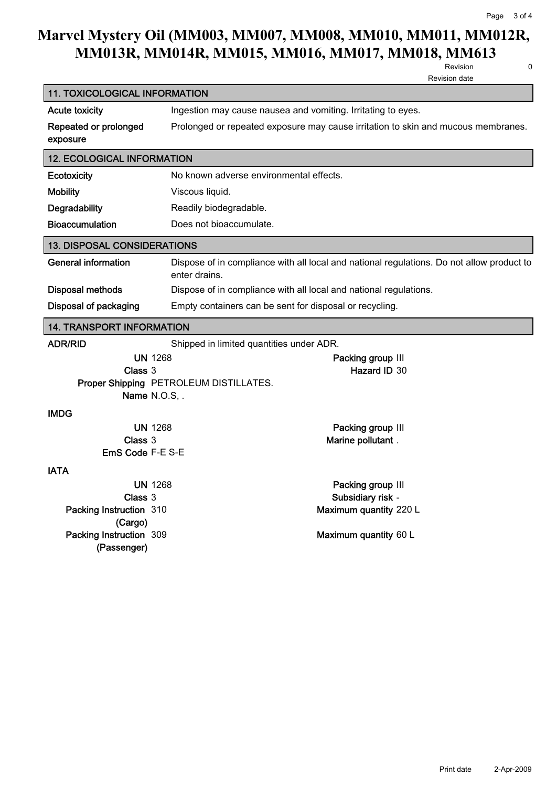### **Marvel Mystery Oil (MM003, MM007, MM008, MM010, MM011, MM012R, MM013R, MM014R, MM015, MM016, MM017, MM018, MM613**

**11. TOXICOLOGICAL INFORMATION**

**Revision 0 Revision date**

**Acute toxicity Ingestion may cause nausea and vomiting. Irritating to eyes. Repeated or prolonged exposure Prolonged or repeated exposure may cause irritation to skin and mucous membranes. 12. ECOLOGICAL INFORMATION Ecotoxicity No known adverse environmental effects. Mobility Viscous liquid. Degradability Readily biodegradable. Bioaccumulation Does not bioaccumulate. 13. DISPOSAL CONSIDERATIONS General information Dispose of in compliance with all local and national regulations. Do not allow product to enter drains. Disposal methods Dispose of in compliance with all local and national regulations. Disposal of packaging Empty containers can be sent for disposal or recycling. 14. TRANSPORT INFORMATION ADR/RID Shipped in limited quantities under ADR. UN 1268 Packing group III Class 3 Hazard ID 30 Proper Shipping PETROLEUM DISTILLATES. Name N.O.S, . IMDG UN 1268 Packing group III Class 3 Marine pollutant . EmS Code F-E S-E IATA UN 1268 Packing group III Class 3 Subsidiary risk - Packing Instruction (Cargo) 310 Maximum quantity 220 L Packing Instruction (Passenger) 309 Maximum quantity 60 L**